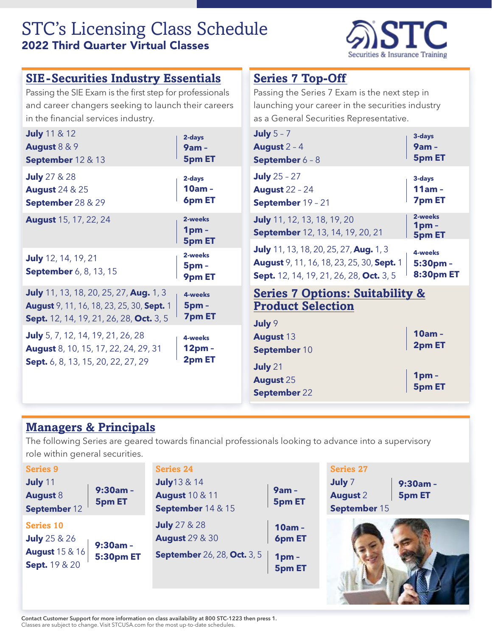# STC's Licensing Class Schedule 2022 Third Quarter Virtual Classes



| <b>SIE-Securities Industry Essentials</b>                                                                              |                                             | <b>Series 7 Top-Off</b>                                                                                                                                    |                                                        |
|------------------------------------------------------------------------------------------------------------------------|---------------------------------------------|------------------------------------------------------------------------------------------------------------------------------------------------------------|--------------------------------------------------------|
| Passing the SIE Exam is the first step for professionals                                                               |                                             | Passing the Series 7 Exam is the next step in                                                                                                              |                                                        |
| and career changers seeking to launch their careers                                                                    |                                             | launching your career in the securities industry                                                                                                           |                                                        |
| in the financial services industry.                                                                                    |                                             | as a General Securities Representative.                                                                                                                    |                                                        |
| <b>July</b> 11 & 12                                                                                                    | 2-days                                      | July $5 - 7$                                                                                                                                               | 3-days                                                 |
| August 8 & 9                                                                                                           | <b>9am-</b>                                 | August $2 - 4$                                                                                                                                             | $9am -$                                                |
| September 12 & 13                                                                                                      | <b>5pm ET</b>                               | September 6 - 8                                                                                                                                            | <b>5pm ET</b>                                          |
| <b>July</b> 27 & 28                                                                                                    | 2-days                                      | <b>July</b> $25 - 27$                                                                                                                                      | 3-days                                                 |
| <b>August 24 &amp; 25</b>                                                                                              | 10am-                                       | <b>August 22 - 24</b>                                                                                                                                      | $11am -$                                               |
| September 28 & 29                                                                                                      | 6pm ET                                      | September 19 - 21                                                                                                                                          | <b>7pm ET</b>                                          |
| <b>August</b> 15, 17, 22, 24                                                                                           | 2-weeks<br>1 <sub>pm</sub><br><b>5pm ET</b> | July 11, 12, 13, 18, 19, 20<br>September 12, 13, 14, 19, 20, 21                                                                                            | 2-weeks<br>1 <sub>pm</sub><br><b>5pm ET</b>            |
| <b>July</b> 12, 14, 19, 21<br><b>September</b> 6, 8, 13, 15                                                            | 2-weeks<br>5 <sub>pm</sub><br>9pm ET        | <b>July</b> 11, 13, 18, 20, 25, 27, Aug. 1, 3<br><b>August</b> 9, 11, 16, 18, 23, 25, 30, Sept. 1<br><b>Sept.</b> 12, 14, 19, 21, 26, 28, <b>Oct.</b> 3, 5 | 4-weeks<br>5:30pm-<br><b>8:30pm ET</b>                 |
| <b>July</b> 11, 13, 18, 20, 25, 27, Aug. 1, 3                                                                          | 4-weeks                                     | <b>Series 7 Options: Suitability &amp;</b>                                                                                                                 |                                                        |
| <b>August</b> 9, 11, 16, 18, 23, 25, 30, Sept. 1                                                                       | 5 <sub>pm</sub>                             | <b>Product Selection</b>                                                                                                                                   |                                                        |
| <b>Sept.</b> 12, 14, 19, 21, 26, 28, Oct. 3, 5                                                                         | <b>7pm ET</b>                               | July 9                                                                                                                                                     |                                                        |
| July 5, 7, 12, 14, 19, 21, 26, 28<br><b>August</b> 8, 10, 15, 17, 22, 24, 29, 31<br>Sept. 6, 8, 13, 15, 20, 22, 27, 29 | 4-weeks<br>12 <sub>pm</sub><br>2pm ET       | <b>August 13</b><br>September 10<br>July 21<br><b>August 25</b><br>September 22                                                                            | $10am -$<br>2pm ET<br>1 <sub>pm</sub><br><b>5pm ET</b> |

#### **[Managers & Principals](https://www.stcusa.com/securities/licensing/)**

The following Series are geared towards financial professionals looking to advance into a supervisory role within general securities.

| <b>Series 9</b>                                                                          |                                | <b>Series 24</b>                                                                   |                                     | <b>Series 27</b>                          |                             |
|------------------------------------------------------------------------------------------|--------------------------------|------------------------------------------------------------------------------------|-------------------------------------|-------------------------------------------|-----------------------------|
| July 11<br><b>August 8</b><br>September 12                                               | $9:30am -$<br><b>5pm ET</b>    | <b>July</b> 13 & 14<br><b>August 10 &amp; 11</b><br>September 14 & 15              | 9am -<br><b>5pm ET</b>              | July 7<br><b>August 2</b><br>September 15 | $9:30am -$<br><b>5pm ET</b> |
| <b>Series 10</b><br><b>July</b> 25 & 26<br><b>August</b> 15 & 16<br><b>Sept.</b> 19 & 20 | $9:30am -$<br><b>5:30pm ET</b> | <b>July</b> 27 & 28<br><b>August</b> 29 & 30<br><b>September</b> 26, 28, Oct. 3, 5 | 10am -<br>6pm ET<br>1pm -<br>5pm ET |                                           |                             |

Contact Customer Support for more information on class availability at 800 STC-1223 then press 1. Classes are subject to change. Visit STCUSA.com for the most up-to-date schedules.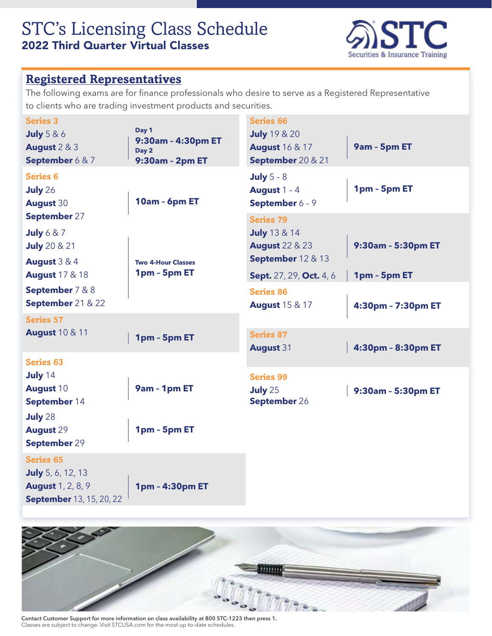### STC's Licensing Class Schedule 2022 Third Quarter Virtual Classes



#### **[Registered Representatives](https://www.stcusa.com/securities/licensing/)**

The following exams are for finance professionals who desire to serve as a Registered Representative to clients who are trading investment products and securities.

| <b>Series 3</b><br><b>July</b> 5 & 6<br>August 2 & 3<br>September 6 & 7                                     | Day 1<br>9:30am - 4:30pm ET<br>Day 2<br>9:30am - 2pm ET | <b>Series 66</b><br><b>July</b> 19 & 20<br><b>August</b> 16 & 17<br>September 20 & 21     | 9am - 5pm ET       |
|-------------------------------------------------------------------------------------------------------------|---------------------------------------------------------|-------------------------------------------------------------------------------------------|--------------------|
| <b>Series 6</b><br><b>July 26</b><br><b>August 30</b>                                                       | 10am - 6pm ET                                           | July $5 - 8$<br>August $1 - 4$<br>September 6 - 9                                         | 1pm - 5pm ET       |
| September 27<br>July $6 & 7$<br><b>July</b> 20 & 21<br><b>August 3 &amp; 4</b>                              | <b>Two 4-Hour Classes</b>                               | <b>Series 79</b><br><b>July</b> 13 & 14<br><b>August 22 &amp; 23</b><br>September 12 & 13 | 9:30am - 5:30pm ET |
| <b>August</b> 17 & 18                                                                                       | 1pm - 5pm ET                                            | Sept. 27, 29, Oct. 4, 6                                                                   | 1pm - 5pm ET       |
| September 7 & 8<br>September 21 & 22                                                                        |                                                         | <b>Series 86</b><br><b>August</b> 15 & 17                                                 | 4:30pm - 7:30pm ET |
| <b>Series 57</b><br><b>August 10 &amp; 11</b>                                                               | 1pm - 5pm ET                                            | <b>Series 87</b><br><b>August 31</b>                                                      | 4:30pm - 8:30pm ET |
| <b>Series 63</b><br><b>July 14</b><br><b>August 10</b><br>September 14                                      | 9am - 1pm ET                                            | <b>Series 99</b><br><b>July 25</b><br>September 26                                        | 9:30am - 5:30pm ET |
| <b>July 28</b><br><b>August 29</b><br>September 29                                                          | 1pm - 5pm ET                                            |                                                                                           |                    |
| <b>Series 65</b><br><b>July</b> 5, 6, 12, 13<br><b>August</b> 1, 2, 8, 9<br><b>September</b> 13, 15, 20, 22 | 1pm - 4:30pm ET                                         |                                                                                           |                    |



Contact Customer Support for more information on class availability at 800 STC-1223 then press 1. Classes are subject to change. Visit STCUSA.com for the most up-to-date schedules.